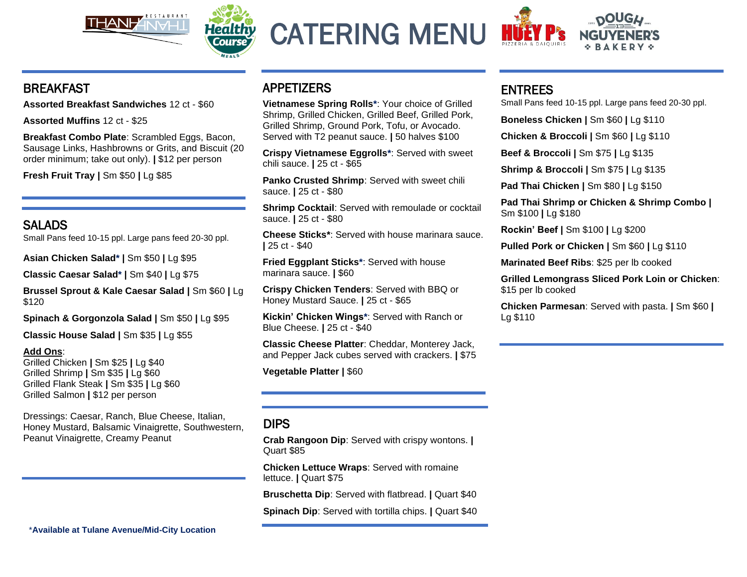



CATERING MENU



### BREAKFAST

**Assorted Breakfast Sandwiches** 12 ct - \$60

**Assorted Muffins** 12 ct - \$25

**Breakfast Combo Plate**: Scrambled Eggs, Bacon, Sausage Links, Hashbrowns or Grits, and Biscuit (20 order minimum; take out only). **|** \$12 per person

**Fresh Fruit Tray |** Sm \$50 **|** Lg \$85

# SALADS

Small Pans feed 10-15 ppl. Large pans feed 20-30 ppl.

**Asian Chicken Salad\* |** Sm \$50 **|** Lg \$95

**Classic Caesar Salad\* |** Sm \$40 **|** Lg \$75

**Brussel Sprout & Kale Caesar Salad |** Sm \$60 **|** Lg \$120

**Spinach & Gorgonzola Salad |** Sm \$50 **|** Lg \$95

**Classic House Salad |** Sm \$35 **|** Lg \$55

#### **Add Ons**:

Grilled Chicken **|** Sm \$25 **|** Lg \$40 Grilled Shrimp **|** Sm \$35 **|** Lg \$60 Grilled Flank Steak **|** Sm \$35 **|** Lg \$60 Grilled Salmon **|** \$12 per person

Dressings: Caesar, Ranch, Blue Cheese, Italian, Honey Mustard, Balsamic Vinaigrette, Southwestern, Peanut Vinaigrette, Creamy Peanut

# APPETIZERS

**Vietnamese Spring Rolls\***: Your choice of Grilled Shrimp, Grilled Chicken, Grilled Beef, Grilled Pork, Grilled Shrimp, Ground Pork, Tofu, or Avocado. Served with T2 peanut sauce. **|** 50 halves \$100

**Crispy Vietnamese Eggrolls\***: Served with sweet chili sauce. **|** 25 ct - \$65

**Panko Crusted Shrimp**: Served with sweet chili sauce. **|** 25 ct - \$80

**Shrimp Cocktail**: Served with remoulade or cocktail sauce. **|** 25 ct - \$80

**Cheese Sticks\***: Served with house marinara sauce. **|** 25 ct - \$40

**Fried Eggplant Sticks\***: Served with house marinara sauce. **|** \$60

**Crispy Chicken Tenders**: Served with BBQ or Honey Mustard Sauce. **|** 25 ct - \$65

**Kickin' Chicken Wings\***: Served with Ranch or Blue Cheese. **|** 25 ct - \$40

**Classic Cheese Platter**: Cheddar, Monterey Jack, and Pepper Jack cubes served with crackers. **|** \$75

**Vegetable Platter |** \$60

# DIPS

**Crab Rangoon Dip**: Served with crispy wontons. **|** Quart \$85

**Chicken Lettuce Wraps**: Served with romaine lettuce. **|** Quart \$75

**Bruschetta Dip**: Served with flatbread. **|** Quart \$40

**Spinach Dip**: Served with tortilla chips. **|** Quart \$40

# ENTREES

Small Pans feed 10-15 ppl. Large pans feed 20-30 ppl.

**Boneless Chicken |** Sm \$60 **|** Lg \$110

**Chicken & Broccoli |** Sm \$60 **|** Lg \$110

**Beef & Broccoli |** Sm \$75 **|** Lg \$135

**Shrimp & Broccoli |** Sm \$75 **|** Lg \$135

**Pad Thai Chicken |** Sm \$80 **|** Lg \$150

**Pad Thai Shrimp or Chicken & Shrimp Combo |**  Sm \$100 **|** Lg \$180

**Rockin' Beef |** Sm \$100 **|** Lg \$200

**Pulled Pork or Chicken |** Sm \$60 **|** Lg \$110

**Marinated Beef Ribs**: \$25 per lb cooked

**Grilled Lemongrass Sliced Pork Loin or Chicken**: \$15 per lb cooked

**Chicken Parmesan**: Served with pasta. **|** Sm \$60 **|**  Lg \$110